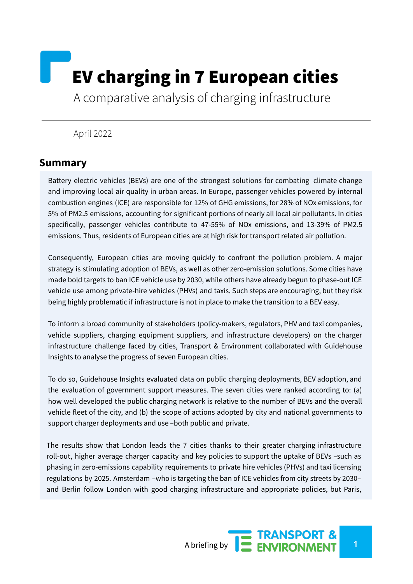# EV charging in 7 European cities

A comparative analysis of charging infrastructure

#### April 2022

## **Summary**

Battery electric vehicles (BEVs) are one of the strongest solutions for combating climate change and improving local air quality in urban areas. In Europe, passenger vehicles powered by internal combustion engines (ICE) are responsible for 12% of GHG emissions, for 28% of NOx emissions, for 5% of PM2.5 emissions, accounting for significant portions of nearly all local air pollutants. In cities specifically, passenger vehicles contribute to 47-55% of NOx emissions, and 13-39% of PM2.5 emissions. Thus, residents of European cities are at high risk for transport related air pollution.

Consequently, European cities are moving quickly to confront the pollution problem. A major strategy is stimulating adoption of BEVs, as well as other zero-emission solutions. Some cities have made bold targets to ban ICE vehicle use by 2030, while others have already begun to phase-out ICE vehicle use among private-hire vehicles (PHVs) and taxis. Such steps are encouraging, but they risk being highly problematic if infrastructure is not in place to make the transition to a BEV easy.

To inform a broad community of stakeholders (policy-makers, regulators, PHV and taxi companies, vehicle suppliers, charging equipment suppliers, and infrastructure developers) on the charger infrastructure challenge faced by cities, Transport & Environment collaborated with Guidehouse Insights to analyse the progress of seven European cities.

To do so, Guidehouse Insights evaluated data on public charging deployments, BEV adoption, and the evaluation of government support measures. The seven cities were ranked according to: (a) how well developed the public charging network is relative to the number of BEVs and the overall vehicle fleet of the city, and (b) the scope of actions adopted by city and national governments to support charger deployments and use –both public and private.

The results show that London leads the 7 cities thanks to their greater charging infrastructure roll-out, higher average charger capacity and key policies to support the uptake of BEVs –such as phasing in zero-emissions capability requirements to private hire vehicles (PHVs) and taxi licensing regulations by 2025. Amsterdam –who is targeting the ban of ICE vehicles from city streets by 2030– and Berlin follow London with good charging infrastructure and appropriate policies, but Paris,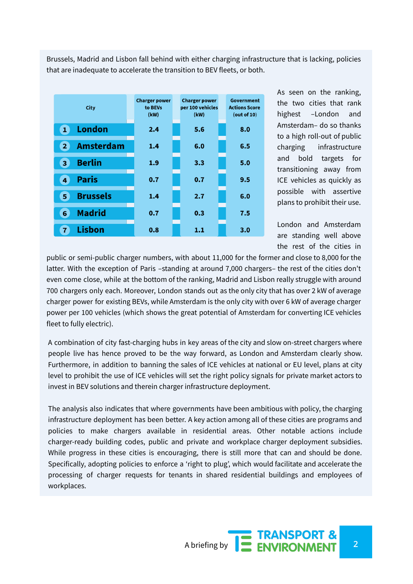Brussels, Madrid and Lisbon fall behind with either charging infrastructure that is lacking, policies that are inadequate to accelerate the transition to BEV fleets, or both.



As seen on the ranking, the two cities that rank highest –London and Amsterdam– do so thanks to a high roll-out of public charging infrastructure and bold targets for transitioning away from ICE vehicles as quickly as possible with assertive plans to prohibit their use.

London and Amsterdam are standing well above the rest of the cities in

public or semi-public charger numbers, with about 11,000 for the former and close to 8,000 for the latter. With the exception of Paris -standing at around 7,000 chargers- the rest of the cities don't even come close, while at the bottom of the ranking, Madrid and Lisbon really struggle with around 700 chargers only each. Moreover, London stands out as the only city that has over 2 kW of average charger power for existing BEVs, while Amsterdam is the only city with over 6 kW of average charger power per 100 vehicles (which shows the great potential of Amsterdam for converting ICE vehicles fleet to fully electric).

A combination of city fast-charging hubs in key areas of the city and slow on-street chargers where people live has hence proved to be the way forward, as London and Amsterdam clearly show. Furthermore, in addition to banning the sales of ICE vehicles at national or EU level, plans at city level to prohibit the use of ICE vehicles will set the right policy signals for private market actors to invest in BEV solutions and therein charger infrastructure deployment.

The analysis also indicates that where governments have been ambitious with policy, the charging infrastructure deployment has been better. A key action among all of these cities are programs and policies to make chargers available in residential areas. Other notable actions include charger-ready building codes, public and private and workplace charger deployment subsidies. While progress in these cities is encouraging, there is still more that can and should be done. Specifically, adopting policies to enforce a 'right to plug', which would facilitate and accelerate the processing of charger requests for tenants in shared residential buildings and employees of workplaces.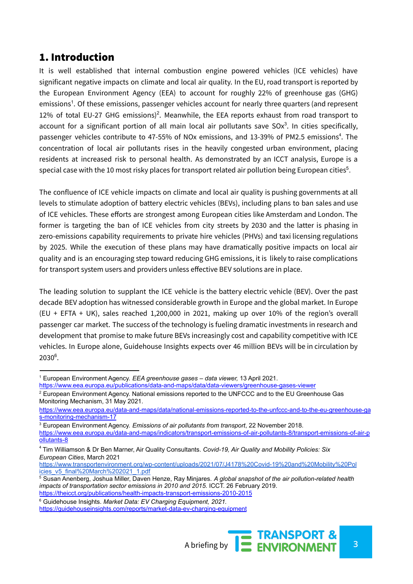# 1. Introduction

It is well established that internal combustion engine powered vehicles (ICE vehicles) have significant negative impacts on climate and local air quality. In the EU, road transport is reported by the European Environment Agency (EEA) to account for roughly 22% of greenhouse gas (GHG) emissions<sup>1</sup>. Of these emissions, passenger vehicles account for nearly three quarters (and represent 12% of total EU-27 GHG emissions)<sup>2</sup>. Meanwhile, the EEA reports exhaust from road transport to account for a significant portion of all main local air pollutants save SO $x^3$ . In cities specifically, passenger vehicles contribute to 47-55% of NOx emissions, and 13-39% of PM2.5 emissions<sup>4</sup>. The concentration of local air pollutants rises in the heavily congested urban environment, placing residents at increased risk to personal health. As demonstrated by an ICCT analysis, Europe is a special case with the 10 most risky places for transport related air pollution being European cities $^5$ .

The confluence of ICE vehicle impacts on climate and local air quality is pushing governments at all levels to stimulate adoption of battery electric vehicles (BEVs), including plans to ban sales and use of ICE vehicles. These efforts are strongest among European cities like Amsterdam and London. The former is targeting the ban of ICE vehicles from city streets by 2030 and the latter is phasing in zero-emissions capability requirements to private hire vehicles (PHVs) and taxi licensing regulations by 2025. While the execution of these plans may have dramatically positive impacts on local air quality and is an encouraging step toward reducing GHG emissions, it is likely to raise complications for transport system users and providers unless effective BEV solutions are in place.

The leading solution to supplant the ICE vehicle is the battery electric vehicle (BEV). Over the past decade BEV adoption has witnessed considerable growth in Europe and the global market. In Europe (EU + EFTA + UK), sales reached 1,200,000 in 2021, making up over 10% of the region's overall passenger car market. The success of the technology is fueling dramatic investments in research and development that promise to make future BEVs increasingly cost and capability competitive with ICE vehicles. In Europe alone, Guidehouse Insights expects over 46 million BEVs will be in circulation by 2030 6 .

[https://guidehouseinsights.com/reports/market-data-ev-charging-equipment](https://guidehouseinsights.com/reports/market-data-ev-charging-equipmentv)



<sup>1</sup> European Environment Agency. *EEA greenhouse gases – data viewer,* 13 April 2021.

<https://www.eea.europa.eu/publications/data-and-maps/data/data-viewers/greenhouse-gases-viewer>

<sup>&</sup>lt;sup>2</sup> European Environment Agency. National emissions reported to the UNFCCC and to the EU Greenhouse Gas Monitoring Mechanism, 31 May 2021.

[https://www.eea.europa.eu/data-and-maps/data/national-emissions-reported-to-the-unfccc-and-to-the-eu-greenhouse-ga](https://www.eea.europa.eu/data-and-maps/data/national-emissions-reported-to-the-unfccc-and-to-the-eu-greenhouse-gas-monitoring-mechanism-17) [s-monitoring-mechanism-17](https://www.eea.europa.eu/data-and-maps/data/national-emissions-reported-to-the-unfccc-and-to-the-eu-greenhouse-gas-monitoring-mechanism-17)

<sup>3</sup> European Environment Agency. *Emissions of air pollutants from transport*, 22 November 2018. [https://www.eea.europa.eu/data-and-maps/indicators/transport-emissions-of-air-pollutants-8/transport-emissions-of-air-p](https://www.eea.europa.eu/data-and-maps/indicators/transport-emissions-of-air-pollutants-8/transport-emissions-of-air-pollutants-8) [ollutants-8](https://www.eea.europa.eu/data-and-maps/indicators/transport-emissions-of-air-pollutants-8/transport-emissions-of-air-pollutants-8)

<sup>4</sup> Tim Williamson & Dr Ben Marner, Air Quality Consultants. *Covid-19, Air Quality and Mobility Policies: Six European Cities*, March 2021

[https://www.transportenvironment.org/wp-content/uploads/2021/07/J4178%20Covid-19%20and%20Mobility%20Pol](https://www.transportenvironment.org/wp-content/uploads/2021/07/J4178%20Covid-19%20and%20Mobility%20Policies_v5_final%20March%202021_1.pdf) [icies\\_v5\\_final%20March%202021\\_1.pdf](https://www.transportenvironment.org/wp-content/uploads/2021/07/J4178%20Covid-19%20and%20Mobility%20Policies_v5_final%20March%202021_1.pdf)

<sup>5</sup> Susan Anenberg, Joshua Miller, Daven Henze, Ray Minjares. *A global snapshot of the air pollution-related health impacts of transportation sector emissions in 2010 and 2015.* ICCT. 26 February 2019. <https://theicct.org/publications/health-impacts-transport-emissions-2010-2015>

<sup>6</sup> Guidehouse Insights. *Market Data: EV Charging Equipment, 2021.*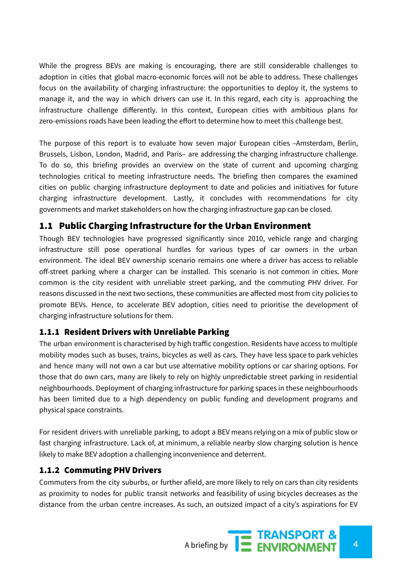While the progress BEVs are making is encouraging, there are still considerable challenges to adoption in cities that global macro-economic forces will not be able to address. These challenges focus on the availability of charging infrastructure: the opportunities to deploy it, the systems to manage it, and the way in which drivers can use it. In this regard, each city is approaching the infrastructure challenge differently. In this context, European cities with ambitious plans for zero-emissions roads have been leading the effort to determine how to meet this challenge best.

The purpose of this report is to evaluate how seven major European cities –Amsterdam, Berlin, Brussels, Lisbon, London, Madrid, and Paris– are addressing the charging infrastructure challenge. To do so, this briefing provides an overview on the state of current and upcoming charging technologies critical to meeting infrastructure needs. The briefing then compares the examined cities on public charging infrastructure deployment to date and policies and initiatives for future charging infrastructure development. Lastly, it concludes with recommendations for city governments and market stakeholders on how the charging infrastructure gap can be closed.

## 1.1 Public Charging Infrastructure for the Urban Environment

Though BEV technologies have progressed significantly since 2010, vehicle range and charging infrastructure still pose operational hurdles for various types of car owners in the urban environment. The ideal BEV ownership scenario remains one where a driver has access to reliable off-street parking where a charger can be installed. This scenario is not common in cities. More common is the city resident with unreliable street parking, and the commuting PHV driver. For reasons discussed in the next two sections, these communities are affected most from city policies to promote BEVs. Hence, to accelerate BEV adoption, cities need to prioritise the development of charging infrastructure solutions for them.

#### 1.1.1 Resident Drivers with Unreliable Parking

The urban environment is characterised by high traffic congestion. Residents have access to multiple mobility modes such as buses, trains, bicycles as well as cars. They have less space to park vehicles and hence many will not own a car but use alternative mobility options or car sharing options. For those that do own cars, many are likely to rely on highly unpredictable street parking in residential neighbourhoods. Deployment of charging infrastructure for parking spaces in these neighbourhoods has been limited due to a high dependency on public funding and development programs and physical space constraints.

For resident drivers with unreliable parking, to adopt a BEV means relying on a mix of public slow or fast charging infrastructure. Lack of, at minimum, a reliable nearby slow charging solution is hence likely to make BEV adoption a challenging inconvenience and deterrent.

#### 1.1.2 Commuting PHV Drivers

Commuters from the city suburbs, or further afield, are more likely to rely on cars than city residents as proximity to nodes for public transit networks and feasibility of using bicycles decreases as the distance from the urban centre increases. As such, an outsized impact of a city's aspirations for EV

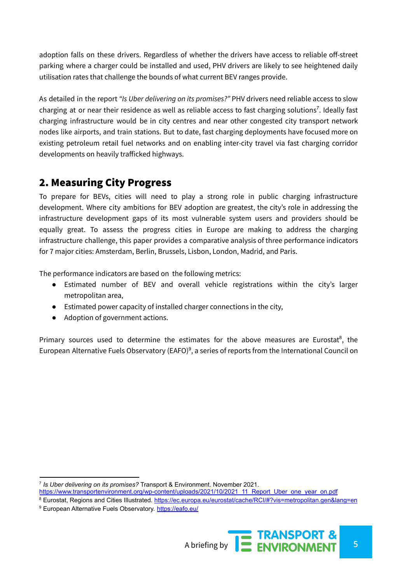adoption falls on these drivers. Regardless of whether the drivers have access to reliable off-street parking where a charger could be installed and used, PHV drivers are likely to see heightened daily utilisation rates that challenge the bounds of what current BEV ranges provide.

As detailed in the report *"Is Uber delivering on its promises?"* PHV drivers need reliable access to slow charging at or near their residence as well as reliable access to fast charging solutions<sup>7</sup>. Ideally fast charging infrastructure would be in city centres and near other congested city transport network nodes like airports, and train stations. But to date, fast charging deployments have focused more on existing petroleum retail fuel networks and on enabling inter-city travel via fast charging corridor developments on heavily trafficked highways.

# 2. Measuring City Progress

To prepare for BEVs, cities will need to play a strong role in public charging infrastructure development. Where city ambitions for BEV adoption are greatest, the city's role in addressing the infrastructure development gaps of its most vulnerable system users and providers should be equally great. To assess the progress cities in Europe are making to address the charging infrastructure challenge, this paper provides a comparative analysis of three performance indicators for 7 major cities: Amsterdam, Berlin, Brussels, Lisbon, London, Madrid, and Paris.

The performance indicators are based on the following metrics:

- Estimated number of BEV and overall vehicle registrations within the city's larger metropolitan area,
- Estimated power capacity of installed charger connections in the city,
- Adoption of government actions.

Primary sources used to determine the estimates for the above measures are Eurostat<sup>8</sup>, the European Alternative Fuels Observatory (EAFO)<sup>9</sup>, a series of reports from the International Council on

<sup>&</sup>lt;sup>9</sup> European Alternative Fuels Observatory. <https://eafo.eu/>



<sup>7</sup> *Is Uber delivering on its promises?* Transport & Environment. November 2021.

[https://www.transportenvironment.org/wp-content/uploads/2021/10/2021\\_11\\_Report\\_Uber\\_one\\_year\\_on.pdf](https://www.transportenvironment.org/wp-content/uploads/2021/10/2021_11_Report_Uber_one_year_on.pdf)

<sup>8</sup> Eurostat, Regions and Cities Illustrated, <https://ec.europa.eu/eurostat/cache/RCI/#?vis=metropolitan.gen&lang=en>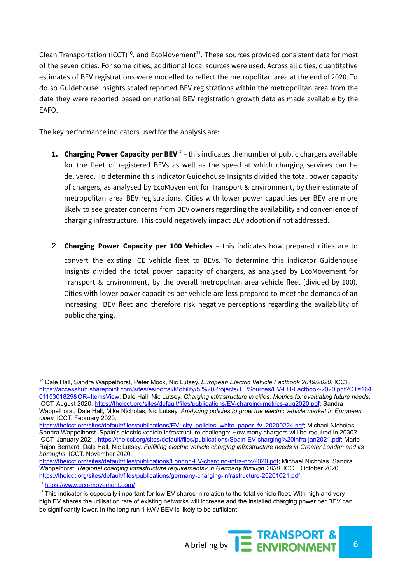Clean Transportation (ICCT)<sup>10</sup>, and EcoMovement<sup>11</sup>. These sources provided consistent data for most of the seven cities. For some cities, additional local sources were used. Across all cities, quantitative estimates of BEV registrations were modelled to reflect the metropolitan area at the end of 2020. To do so Guidehouse Insights scaled reported BEV registrations within the metropolitan area from the date they were reported based on national BEV registration growth data as made available by the EAFO.

The key performance indicators used for the analysis are:

- **1. Charging Power Capacity per BEV** <sup>12</sup> this indicates the number of public chargers available for the fleet of registered BEVs as well as the speed at which charging services can be delivered. To determine this indicator Guidehouse Insights divided the total power capacity of chargers, as analysed by EcoMovement for Transport & Environment, by their estimate of metropolitan area BEV registrations. Cities with lower power capacities per BEV are more likely to see greater concerns from BEV owners regarding the availability and convenience of charging infrastructure. This could negatively impact BEV adoption if not addressed.
- 2. **Charging Power Capacity per 100 Vehicles** this indicates how prepared cities are to convert the existing ICE vehicle fleet to BEVs. To determine this indicator Guidehouse Insights divided the total power capacity of chargers, as analysed by EcoMovement for Transport & Environment, by the overall metropolitan area vehicle fleet (divided by 100). Cities with lower power capacities per vehicle are less prepared to meet the demands of an increasing BEV fleet and therefore risk negative perceptions regarding the availability of public charging.

 $12$  This indicator is especially important for low EV-shares in relation to the total vehicle fleet. With high and very high EV shares the utilisation rate of existing networks will increase and the installed charging power per BEV can be significantly lower. In the long run 1 kW / BEV is likely to be sufficient.



<sup>10</sup> Dale Hall, Sandra Wappelhorst, Peter Mock, Nic Lutsey. *European Electric Vehicle Factbook 2019/2020*. ICCT. [https://accesshub.sharepoint.com/sites/esiportal/Mobility/5.%20Projects/TE/Sources/EV-EU-Factbook-2020.pdf?CT=164](https://accesshub.sharepoint.com/sites/esiportal/Mobility/5.%20Projects/TE/Sources/EV-EU-Factbook-2020.pdf?CT=1640115301829&OR=ItemsView) [0115301829&OR=ItemsView](https://accesshub.sharepoint.com/sites/esiportal/Mobility/5.%20Projects/TE/Sources/EV-EU-Factbook-2020.pdf?CT=1640115301829&OR=ItemsView); Dale Hall, Nic Lutsey. *Charging infrastructure in cities: Metrics for evaluating future needs*. ICCT. August 2020. <https://theicct.org/sites/default/files/publications/EV-charging-metrics-aug2020.pdf>; Sandra Wappelhorst, Dale Hall, Mike Nicholas, Nic Lutsey. *Analyzing policies to grow the electric vehicle market in European cities.* ICCT. February 2020.

[https://theicct.org/sites/default/files/publications/EV\\_city\\_policies\\_white\\_paper\\_fv\\_20200224.pdf](https://theicct.org/sites/default/files/publications/EV_city_policies_white_paper_fv_20200224.pdf); Michael Nicholas, Sandra Wappelhorst. Spain's electric vehicle infrastructure challenge: How many chargers will be required in 2030? ICCT. January 2021. [https://theicct.org/sites/default/files/publications/Spain-EV-charging%20infra-jan2021.pdf;](https://theicct.org/sites/default/files/publications/Spain-EV-charging%20infra-jan2021.pdf) Marie Rajon Bernard, Dale Hall, Nic Lutsey. *Fulfilling electric vehicle charging infrastructure needs in Greater London and its boroughs.* ICCT. November 2020.

[https://theicct.org/sites/default/files/publications/London-EV-charging-infra-nov2020.pdf;](https://theicct.org/sites/default/files/publications/London-EV-charging-infra-nov2020.pdf) Michael Nicholas, Sandra Wappelhorst. *Regional charging Infrastructure requirementsv in Germany through 2030.* ICCT. October 2020. <https://theicct.org/sites/default/files/publications/germany-charging-infrastructure-20201021.pdf>

<sup>11</sup> <https://www.eco-movement.com/>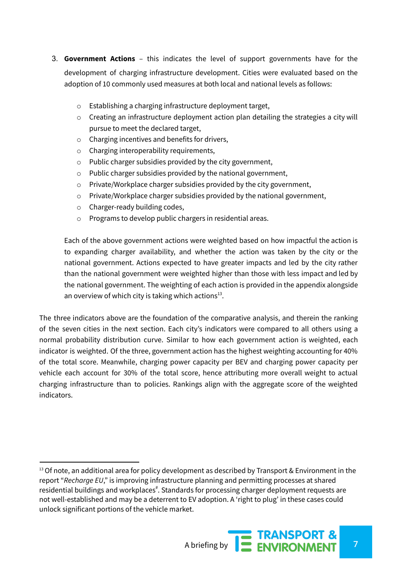- 3. **Government Actions** this indicates the level of support governments have for the development of charging infrastructure development. Cities were evaluated based on the adoption of 10 commonly used measures at both local and national levels as follows:
	- o Establishing a charging infrastructure deployment target,
	- o Creating an infrastructure deployment action plan detailing the strategies a city will pursue to meet the declared target,
	- o Charging incentives and benefits for drivers,
	- o Charging interoperability requirements,
	- o Public charger subsidies provided by the city government,
	- o Public charger subsidies provided by the national government,
	- o Private/Workplace charger subsidies provided by the city government,
	- o Private/Workplace charger subsidies provided by the national government,
	- o Charger-ready building codes,
	- o Programs to develop public chargers in residential areas.

Each of the above government actions were weighted based on how impactful the action is to expanding charger availability, and whether the action was taken by the city or the national government. Actions expected to have greater impacts and led by the city rather than the national government were weighted higher than those with less impact and led by the national government. The weighting of each action is provided in the appendix alongside an overview of which city is taking which actions $^{13}$ .

The three indicators above are the foundation of the comparative analysis, and therein the ranking of the seven cities in the next section. Each city's indicators were compared to all others using a normal probability distribution curve. Similar to how each government action is weighted, each indicator is weighted. Of the three, government action has the highest weighting accounting for 40% of the total score. Meanwhile, charging power capacity per BEV and charging power capacity per vehicle each account for 30% of the total score, hence attributing more overall weight to actual charging infrastructure than to policies. Rankings align with the aggregate score of the weighted indicators.

 $13$  Of note, an additional area for policy development as described by Transport & Environment in the report "*Recharge EU*," is improving infrastructure planning and permitting processes at shared residential buildings and workplaces#. Standards for processing charger deployment requests are not well-established and may be a deterrent to EV adoption. A 'right to plug' in these cases could unlock significant portions of the vehicle market.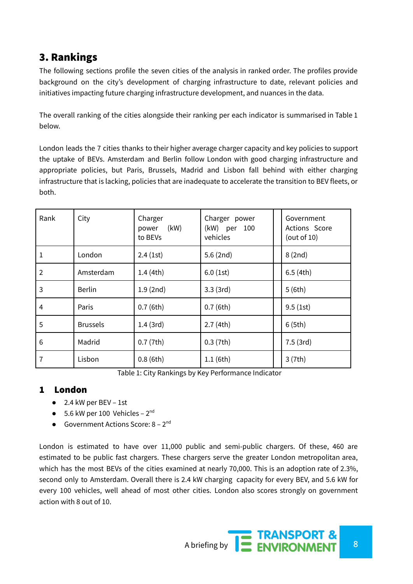# 3. Rankings

The following sections profile the seven cities of the analysis in ranked order. The profiles provide background on the city's development of charging infrastructure to date, relevant policies and initiatives impacting future charging infrastructure development, and nuances in the data.

The overall ranking of the cities alongside their ranking per each indicator is summarised in Table 1 below.

London leads the 7 cities thanks to their higher average charger capacity and key policies to support the uptake of BEVs. Amsterdam and Berlin follow London with good charging infrastructure and appropriate policies, but Paris, Brussels, Madrid and Lisbon fall behind with either charging infrastructure that is lacking, policies that are inadequate to accelerate the transition to BEV fleets, or both.

| Rank | City            | Charger<br>(kW)<br>power<br>to BEVs | Charger power<br>(kW) per 100<br>vehicles | Government<br>Actions Score<br>(out of 10) |  |
|------|-----------------|-------------------------------------|-------------------------------------------|--------------------------------------------|--|
| 1    | London          | 2.4(1st)                            | 5.6(2nd)                                  | 8(2nd)                                     |  |
| 2    | Amsterdam       | 1.4(4th)                            | 6.0(1st)                                  | 6.5(4th)                                   |  |
| 3    | <b>Berlin</b>   | 1.9(2nd)                            | 3.3(3rd)                                  | 5(6th)                                     |  |
| 4    | Paris           | 0.7(6th)                            | 0.7(6th)                                  | 9.5(1st)                                   |  |
| 5    | <b>Brussels</b> | 1.4(3rd)                            | 2.7(4th)                                  | 6(5th)                                     |  |
| 6    | Madrid          | 0.7(7th)                            | 0.3(7th)                                  | 7.5(3rd)                                   |  |
| 7    | Lisbon          | 0.8(6th)                            | 1.1(6th)                                  | 3(7th)                                     |  |

Table 1: City Rankings by Key Performance Indicator

#### 1 London

- 2.4 kW per BEV 1st
- $\bullet$  5.6 kW per 100 Vehicles 2<sup>nd</sup>
- Government Actions Score:  $8 2^{nd}$

London is estimated to have over 11,000 public and semi-public chargers. Of these, 460 are estimated to be public fast chargers. These chargers serve the greater London metropolitan area, which has the most BEVs of the cities examined at nearly 70,000. This is an adoption rate of 2.3%, second only to Amsterdam. Overall there is 2.4 kW charging capacity for every BEV, and 5.6 kW for every 100 vehicles, well ahead of most other cities. London also scores strongly on government action with 8 out of 10.

A briefing by **8 EXAMPORT &**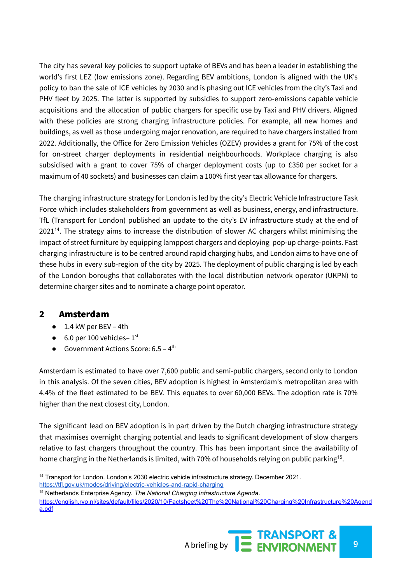The city has several key policies to support uptake of BEVs and has been a leader in establishing the world's first LEZ (low emissions zone). Regarding BEV ambitions, London is aligned with the UK's policy to ban the sale of ICE vehicles by 2030 and is phasing out ICE vehicles from the city's Taxi and PHV fleet by 2025. The latter is supported by subsidies to support zero-emissions capable vehicle acquisitions and the allocation of public chargers for specific use by Taxi and PHV drivers. Aligned with these policies are strong charging infrastructure policies. For example, all new homes and buildings, as well as those undergoing major renovation, are required to have chargers installed from 2022. Additionally, the Office for Zero Emission Vehicles (OZEV) provides a grant for 75% of the cost for on-street charger deployments in residential neighbourhoods. Workplace charging is also subsidised with a grant to cover 75% of charger deployment costs (up to £350 per socket for a maximum of 40 sockets) and businesses can claim a 100% first year tax allowance for chargers.

The charging infrastructure strategy for London is led by the city's Electric Vehicle Infrastructure Task Force which includes stakeholders from government as well as business, energy, and infrastructure. TfL (Transport for London) published an update to the city's EV infrastructure study at the end of  $2021<sup>14</sup>$ . The strategy aims to increase the distribution of slower AC chargers whilst minimising the impact of street furniture by equipping lamppost chargers and deploying pop-up charge-points. Fast charging infrastructure is to be centred around rapid charging hubs, and London aims to have one of these hubs in every sub-region of the city by 2025. The deployment of public charging is led by each of the London boroughs that collaborates with the local distribution network operator (UKPN) to determine charger sites and to nominate a charge point operator.

#### 2 Amsterdam

- 1.4 kW per BEV 4th
- $\bullet$  6.0 per 100 vehicles- $1<sup>st</sup>$
- Government Actions Score:  $6.5 4^{\text{th}}$

Amsterdam is estimated to have over 7,600 public and semi-public chargers, second only to London in this analysis. Of the seven cities, BEV adoption is highest in Amsterdam's metropolitan area with 4.4% of the fleet estimated to be BEV. This equates to over 60,000 BEVs. The adoption rate is 70% higher than the next closest city, London.

The significant lead on BEV adoption is in part driven by the Dutch charging infrastructure strategy that maximises overnight charging potential and leads to significant development of slow chargers relative to fast chargers throughout the country. This has been important since the availability of home charging in the Netherlands is limited, with 70% of households relying on public parking<sup>15</sup>.

<sup>15</sup> Netherlands Enterprise Agency. *The National Charging Infrastructure Agenda*. [https://english.rvo.nl/sites/default/files/2020/10/Factsheet%20The%20National%20Charging%20Infrastructure%20Agend](https://english.rvo.nl/sites/default/files/2020/10/Factsheet%20The%20National%20Charging%20Infrastructure%20Agenda.pdf) [a.pdf](https://english.rvo.nl/sites/default/files/2020/10/Factsheet%20The%20National%20Charging%20Infrastructure%20Agenda.pdf)



<sup>&</sup>lt;sup>14</sup> Transport for London. London's 2030 electric vehicle infrastructure strategy. December 2021. <https://tfl.gov.uk/modes/driving/electric-vehicles-and-rapid-charging>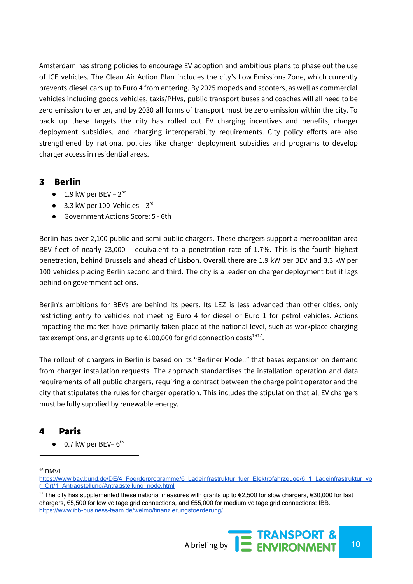Amsterdam has strong policies to encourage EV adoption and ambitious plans to phase out the use of ICE vehicles. The Clean Air Action Plan includes the city's Low Emissions Zone, which currently prevents diesel cars up to Euro 4 from entering. By 2025 mopeds and scooters, as well as commercial vehicles including goods vehicles, taxis/PHVs, public transport buses and coaches will all need to be zero emission to enter, and by 2030 all forms of transport must be zero emission within the city. To back up these targets the city has rolled out EV charging incentives and benefits, charger deployment subsidies, and charging interoperability requirements. City policy efforts are also strengthened by national policies like charger deployment subsidies and programs to develop charger access in residential areas.

#### 3 Berlin

- $\bullet$  1.9 kW per BEV 2<sup>nd</sup>
- $\bullet$  3.3 kW per 100 Vehicles 3rd
- Government Actions Score: 5 6th

Berlin has over 2,100 public and semi-public chargers. These chargers support a metropolitan area BEV fleet of nearly 23,000 – equivalent to a penetration rate of 1.7%. This is the fourth highest penetration, behind Brussels and ahead of Lisbon. Overall there are 1.9 kW per BEV and 3.3 kW per 100 vehicles placing Berlin second and third. The city is a leader on charger deployment but it lags behind on government actions.

Berlin's ambitions for BEVs are behind its peers. Its LEZ is less advanced than other cities, only restricting entry to vehicles not meeting Euro 4 for diesel or Euro 1 for petrol vehicles. Actions impacting the market have primarily taken place at the national level, such as workplace charging tax exemptions, and grants up to €100,000 for grid connection costs $^{1617}$ .

The rollout of chargers in Berlin is based on its "Berliner Modell" that bases expansion on demand from charger installation requests. The approach standardises the installation operation and data requirements of all public chargers, requiring a contract between the charge point operator and the city that stipulates the rules for charger operation. This includes the stipulation that all EV chargers must be fully supplied by renewable energy.

#### 4 Paris

 $\bullet$  0.7 kW per BEV-6<sup>th</sup>

<sup>16</sup> BMVI.

<sup>&</sup>lt;sup>17</sup> The city has supplemented these national measures with grants up to €2,500 for slow chargers, €30,000 for fast chargers, €5,500 for low voltage grid connections, and €55,000 for medium voltage grid connections: IBB. <https://www.ibb-business-team.de/welmo/finanzierungsfoerderung/>



[https://www.bav.bund.de/DE/4\\_Foerderprogramme/6\\_Ladeinfrastruktur\\_fuer\\_Elektrofahrzeuge/6\\_1\\_Ladeinfrastruktur\\_vo](https://www.bav.bund.de/DE/4_Foerderprogramme/6_Ladeinfrastruktur_fuer_Elektrofahrzeuge/6_1_Ladeinfrastruktur_vor_Ort/1_Antragstellung/Antragstellung_node.html) [r\\_Ort/1\\_Antragstellung/Antragstellung\\_node.html](https://www.bav.bund.de/DE/4_Foerderprogramme/6_Ladeinfrastruktur_fuer_Elektrofahrzeuge/6_1_Ladeinfrastruktur_vor_Ort/1_Antragstellung/Antragstellung_node.html)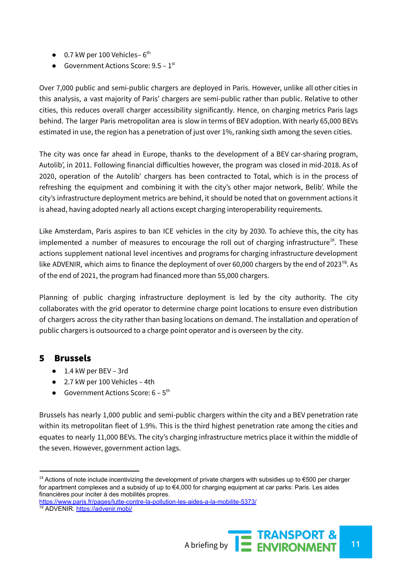- $\bullet$  0.7 kW per 100 Vehicles-6<sup>th</sup>
- Government Actions Score:  $9.5 1^{st}$

Over 7,000 public and semi-public chargers are deployed in Paris. However, unlike all other cities in this analysis, a vast majority of Paris' chargers are semi-public rather than public. Relative to other cities, this reduces overall charger accessibility significantly. Hence, on charging metrics Paris lags behind. The larger Paris metropolitan area is slow in terms of BEV adoption. With nearly 65,000 BEVs estimated in use, the region has a penetration of just over 1%, ranking sixth among the seven cities.

The city was once far ahead in Europe, thanks to the development of a BEV car-sharing program, Autolib', in 2011. Following financial difficulties however, the program was closed in mid-2018. As of 2020, operation of the Autolib' chargers has been contracted to Total, which is in the process of refreshing the equipment and combining it with the city's other major network, Belib'. While the city's infrastructure deployment metrics are behind, it should be noted that on government actions it is ahead, having adopted nearly all actions except charging interoperability requirements.

Like Amsterdam, Paris aspires to ban ICE vehicles in the city by 2030. To achieve this, the city has implemented a number of measures to encourage the roll out of charging infrastructure<sup>18</sup>. These actions supplement national level incentives and programs for charging infrastructure development like ADVENIR, which aims to finance the deployment of over 60,000 chargers by the end of 2023<sup>19</sup>. As of the end of 2021, the program had financed more than 55,000 chargers.

Planning of public charging infrastructure deployment is led by the city authority. The city collaborates with the grid operator to determine charge point locations to ensure even distribution of chargers across the city rather than basing locations on demand. The installation and operation of public chargers is outsourced to a charge point operator and is overseen by the city.

#### 5 Brussels

- 1.4 kW per BEV 3rd
- 2.7 kW per 100 Vehicles 4th
- Government Actions Score:  $6 5$ <sup>th</sup>

Brussels has nearly 1,000 public and semi-public chargers within the city and a BEV penetration rate within its metropolitan fleet of 1.9%. This is the third highest penetration rate among the cities and equates to nearly 11,000 BEVs. The city's charging infrastructure metrics place it within the middle of the seven. However, government action lags.

 $18$  Actions of note include incentivizing the development of private chargers with subsidies up to €500 per charger for apartment complexes and a subsidy of up to €4,000 for charging equipment at car parks: Paris. Les aides financières pour inciter à des mobilités propres.

<sup>19</sup> ADVENIR. <https://advenir.mobi/> <https://www.paris.fr/pages/lutte-contre-la-pollution-les-aides-a-la-mobilite-5373/>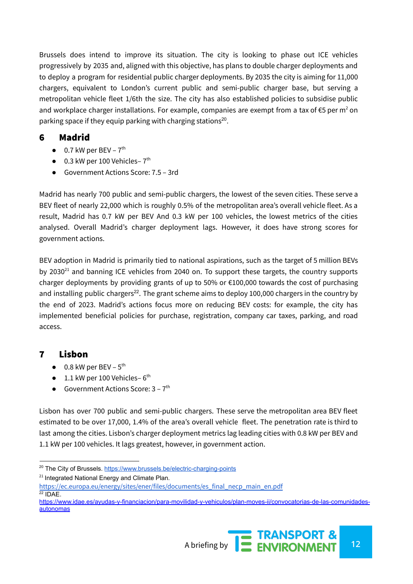Brussels does intend to improve its situation. The city is looking to phase out ICE vehicles progressively by 2035 and, aligned with this objective, has plans to double charger deployments and to deploy a program for residential public charger deployments. By 2035 the city is aiming for 11,000 chargers, equivalent to London's current public and semi-public charger base, but serving a metropolitan vehicle fleet 1/6th the size. The city has also established policies to subsidise public and workplace charger installations. For example, companies are exempt from a tax of  $\epsilon$ 5 per m<sup>2</sup> on parking space if they equip parking with charging stations<sup>20</sup>.

#### 6 Madrid

- $\bullet$  0.7 kW per BEV  $7<sup>th</sup>$
- $\bullet$  0.3 kW per 100 Vehicles- $7<sup>th</sup>$
- Government Actions Score: 7.5 3rd

Madrid has nearly 700 public and semi-public chargers, the lowest of the seven cities. These serve a BEV fleet of nearly 22,000 which is roughly 0.5% of the metropolitan area's overall vehicle fleet. As a result, Madrid has 0.7 kW per BEV And 0.3 kW per 100 vehicles, the lowest metrics of the cities analysed. Overall Madrid's charger deployment lags. However, it does have strong scores for government actions.

BEV adoption in Madrid is primarily tied to national aspirations, such as the target of 5 million BEVs by 2030<sup>21</sup> and banning ICE vehicles from 2040 on. To support these targets, the country supports charger deployments by providing grants of up to 50% or €100,000 towards the cost of purchasing and installing public chargers<sup>22</sup>. The grant scheme aims to deploy 100,000 chargers in the country by the end of 2023. Madrid's actions focus more on reducing BEV costs: for example, the city has implemented beneficial policies for purchase, registration, company car taxes, parking, and road access.

## 7 Lisbon

- $\bullet$  0.8 kW per BEV  $5^{\text{th}}$
- $\bullet$  1.1 kW per 100 Vehicles-6<sup>th</sup>
- Government Actions Score:  $3 7$ <sup>th</sup>

Lisbon has over 700 public and semi-public chargers. These serve the metropolitan area BEV fleet estimated to be over 17,000, 1.4% of the area's overall vehicle fleet. The penetration rate is third to last among the cities. Lisbon's charger deployment metrics lag leading cities with 0.8 kW per BEV and 1.1 kW per 100 vehicles. It lags greatest, however, in government action.

<sup>&</sup>lt;sup>20</sup> The City of Brussels. <https://www.brussels.be/electric-charging-points>

 $21$  Integrated National Energy and Climate Plan.

 $22$  IDAE. [https://ec.europa.eu/energy/sites/ener/files/documents/es\\_final\\_necp\\_main\\_en.pdf](https://ec.europa.eu/energy/sites/ener/files/documents/es_final_necp_main_en.pdf)

[https://www.idae.es/ayudas-y-financiacion/para-movilidad-y-vehiculos/plan-moves-ii/convocatorias-de-las-comunidades](https://www.idae.es/ayudas-y-financiacion/para-movilidad-y-vehiculos/plan-moves-ii/convocatorias-de-las-comunidades-autonomas)[autonomas](https://www.idae.es/ayudas-y-financiacion/para-movilidad-y-vehiculos/plan-moves-ii/convocatorias-de-las-comunidades-autonomas)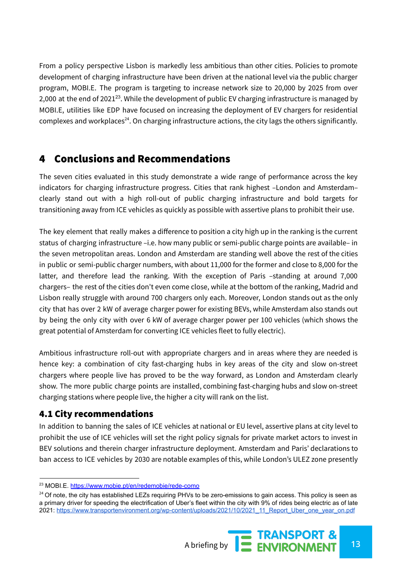From a policy perspective Lisbon is markedly less ambitious than other cities. Policies to promote development of charging infrastructure have been driven at the national level via the public charger program, MOBI.E. The program is targeting to increase network size to 20,000 by 2025 from over 2,000 at the end of 2021 $^{23}$ . While the development of public EV charging infrastructure is managed by MOBI.E, utilities like EDP have focused on increasing the deployment of EV chargers for residential complexes and workplaces<sup>24</sup>. On charging infrastructure actions, the city lags the others significantly.

## 4 Conclusions and Recommendations

The seven cities evaluated in this study demonstrate a wide range of performance across the key indicators for charging infrastructure progress. Cities that rank highest –London and Amsterdam– clearly stand out with a high roll-out of public charging infrastructure and bold targets for transitioning away from ICE vehicles as quickly as possible with assertive plans to prohibit their use.

The key element that really makes a difference to position a city high up in the ranking is the current status of charging infrastructure –i.e. how many public or semi-public charge points are available– in the seven metropolitan areas. London and Amsterdam are standing well above the rest of the cities in public or semi-public charger numbers, with about 11,000 for the former and close to 8,000 for the latter, and therefore lead the ranking. With the exception of Paris -standing at around 7,000 chargers– the rest of the cities don't even come close, while at the bottom of the ranking, Madrid and Lisbon really struggle with around 700 chargers only each. Moreover, London stands out as the only city that has over 2 kW of average charger power for existing BEVs, while Amsterdam also stands out by being the only city with over 6 kW of average charger power per 100 vehicles (which shows the great potential of Amsterdam for converting ICE vehicles fleet to fully electric).

Ambitious infrastructure roll-out with appropriate chargers and in areas where they are needed is hence key: a combination of city fast-charging hubs in key areas of the city and slow on-street chargers where people live has proved to be the way forward, as London and Amsterdam clearly show. The more public charge points are installed, combining fast-charging hubs and slow on-street charging stations where people live, the higher a city will rank on the list.

## 4.1 City recommendations

In addition to banning the sales of ICE vehicles at national or EU level, assertive plans at city level to prohibit the use of ICE vehicles will set the right policy signals for private market actors to invest in BEV solutions and therein charger infrastructure deployment. Amsterdam and Paris' declarations to ban access to ICE vehicles by 2030 are notable examples of this, while London's ULEZ zone presently

 $24$  Of note, the city has established LEZs requiring PHVs to be zero-emissions to gain access. This policy is seen as a primary driver for speeding the electrification of Uber's fleet within the city with 9% of rides being electric as of late 2021: [https://www.transportenvironment.org/wp-content/uploads/2021/10/2021\\_11\\_Report\\_Uber\\_one\\_year\\_on.pdf](https://www.transportenvironment.org/wp-content/uploads/2021/10/2021_11_Report_Uber_one_year_on.pdf)



<sup>23</sup> MOBI.E. <https://www.mobie.pt/en/redemobie/rede-como>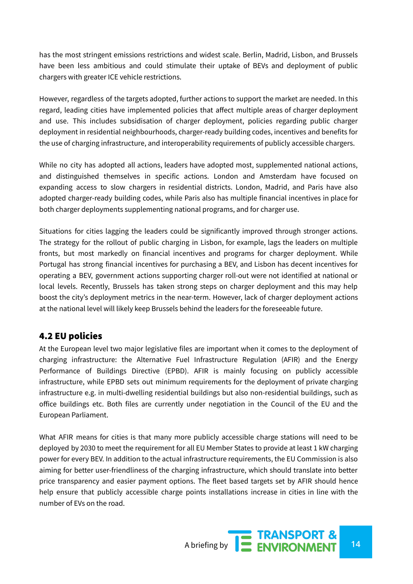has the most stringent emissions restrictions and widest scale. Berlin, Madrid, Lisbon, and Brussels have been less ambitious and could stimulate their uptake of BEVs and deployment of public chargers with greater ICE vehicle restrictions.

However, regardless of the targets adopted, further actions to support the market are needed. In this regard, leading cities have implemented policies that affect multiple areas of charger deployment and use. This includes subsidisation of charger deployment, policies regarding public charger deployment in residential neighbourhoods, charger-ready building codes, incentives and benefits for the use of charging infrastructure, and interoperability requirements of publicly accessible chargers.

While no city has adopted all actions, leaders have adopted most, supplemented national actions, and distinguished themselves in specific actions. London and Amsterdam have focused on expanding access to slow chargers in residential districts. London, Madrid, and Paris have also adopted charger-ready building codes, while Paris also has multiple financial incentives in place for both charger deployments supplementing national programs, and for charger use.

Situations for cities lagging the leaders could be significantly improved through stronger actions. The strategy for the rollout of public charging in Lisbon, for example, lags the leaders on multiple fronts, but most markedly on financial incentives and programs for charger deployment. While Portugal has strong financial incentives for purchasing a BEV, and Lisbon has decent incentives for operating a BEV, government actions supporting charger roll-out were not identified at national or local levels. Recently, Brussels has taken strong steps on charger deployment and this may help boost the city's deployment metrics in the near-term. However, lack of charger deployment actions at the national level will likely keep Brussels behind the leaders for the foreseeable future.

#### 4.2 EU policies

At the European level two major legislative files are important when it comes to the deployment of charging infrastructure: the Alternative Fuel Infrastructure Regulation (AFIR) and the Energy Performance of Buildings Directive (EPBD). AFIR is mainly focusing on publicly accessible infrastructure, while EPBD sets out minimum requirements for the deployment of private charging infrastructure e.g. in multi-dwelling residential buildings but also non-residential buildings, such as office buildings etc. Both files are currently under negotiation in the Council of the EU and the European Parliament.

What AFIR means for cities is that many more publicly accessible charge stations will need to be deployed by 2030 to meet the requirement for all EU Member States to provide at least 1 kW charging power for every BEV. In addition to the actual infrastructure requirements, the EU Commission is also aiming for better user-friendliness of the charging infrastructure, which should translate into better price transparency and easier payment options. The fleet based targets set by AFIR should hence help ensure that publicly accessible charge points installations increase in cities in line with the number of EVs on the road.

A briefing by **14 ENVIRONMENT** 14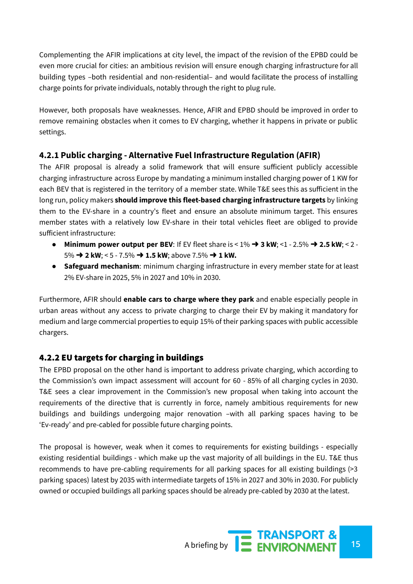Complementing the AFIR implications at city level, the impact of the revision of the EPBD could be even more crucial for cities: an ambitious revision will ensure enough charging infrastructure for all building types –both residential and non-residential– and would facilitate the process of installing charge points for private individuals, notably through the right to plug rule.

However, both proposals have weaknesses. Hence, AFIR and EPBD should be improved in order to remove remaining obstacles when it comes to EV charging, whether it happens in private or public settings.

#### **4.2.1 Public charging - Alternative Fuel Infrastructure Regulation (AFIR)**

The AFIR proposal is already a solid framework that will ensure sufficient publicly accessible charging infrastructure across Europe by mandating a minimum installed charging power of 1 KW for each BEV that is registered in the territory of a member state. While T&E sees this as sufficient in the long run, policy makers **should improve this fleet-based charging infrastructure targets** by linking them to the EV-share in a country's fleet and ensure an absolute minimum target. This ensures member states with a relatively low EV-share in their total vehicles fleet are obliged to provide sufficient infrastructure:

- **Minimum power output per BEV**: If EV fleet share is < 1% ➜ **3 kW**; <1 2.5% ➜ **2.5 kW**; < 2 5% ➜ **2 kW**; < 5 - 7.5% ➜ **1.5 kW**; above 7.5% ➜ **1 kW.**
- **● Safeguard mechanism**: minimum charging infrastructure in every member state for at least 2% EV-share in 2025, 5% in 2027 and 10% in 2030.

Furthermore, AFIR should **enable cars to charge where they park** and enable especially people in urban areas without any access to private charging to charge their EV by making it mandatory for medium and large commercial properties to equip 15% of their parking spaces with public accessible chargers.

## 4.2.2 EU targets for charging in buildings

The EPBD proposal on the other hand is important to address private charging, which according to the Commission's own impact assessment will account for 60 - 85% of all charging cycles in 2030. T&E sees a clear improvement in the Commission's new proposal when taking into account the requirements of the directive that is currently in force, namely ambitious requirements for new buildings and buildings undergoing major renovation –with all parking spaces having to be 'Ev-ready' and pre-cabled for possible future charging points.

The proposal is however, weak when it comes to requirements for existing buildings - especially existing residential buildings - which make up the vast majority of all buildings in the EU. T&E thus recommends to have pre-cabling requirements for all parking spaces for all existing buildings (>3 parking spaces) latest by 2035 with intermediate targets of 15% in 2027 and 30% in 2030. For publicly owned or occupied buildings all parking spaces should be already pre-cabled by 2030 at the latest.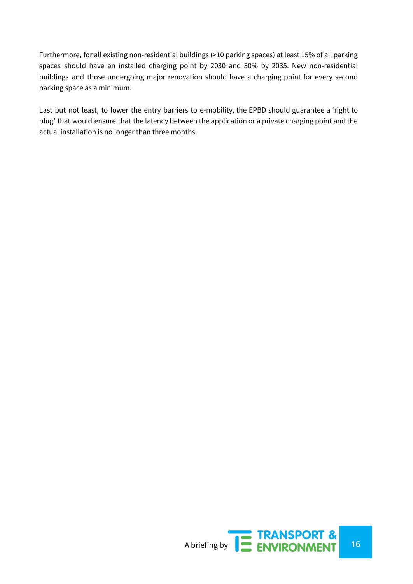Furthermore, for all existing non-residential buildings (>10 parking spaces) at least 15% of all parking spaces should have an installed charging point by 2030 and 30% by 2035. New non-residential buildings and those undergoing major renovation should have a charging point for every second parking space as a minimum.

Last but not least, to lower the entry barriers to e-mobility, the EPBD should guarantee a 'right to plug' that would ensure that the latency between the application or a private charging point and the actual installation is no longer than three months.

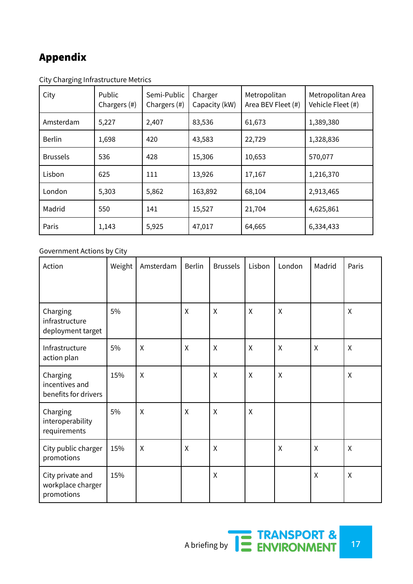# Appendix

| City            | Public<br>Chargers (#) | Semi-Public<br>Chargers (#) | Charger<br>Capacity (kW) | Metropolitan<br>Area BEV Fleet (#) | Metropolitan Area<br>Vehicle Fleet (#) |
|-----------------|------------------------|-----------------------------|--------------------------|------------------------------------|----------------------------------------|
| Amsterdam       | 5,227                  | 2,407                       | 83,536                   | 61,673                             | 1,389,380                              |
| <b>Berlin</b>   | 1,698                  | 420                         | 43,583                   | 22,729                             | 1,328,836                              |
| <b>Brussels</b> | 536                    | 428                         | 15,306                   | 10,653                             | 570,077                                |
| Lisbon          | 625                    | 111                         | 13,926                   | 17,167                             | 1,216,370                              |
| London          | 5,303                  | 5,862                       | 163,892                  | 68,104                             | 2,913,465                              |
| Madrid          | 550                    | 141                         | 15,527                   | 21,704                             | 4,625,861                              |
| Paris           | 1,143                  | 5,925                       | 47,017                   | 64,665                             | 6,334,433                              |

City Charging Infrastructure Metrics

#### Government Actions by City

| Action                                              | Weight | Amsterdam                 | <b>Berlin</b> | <b>Brussels</b> | Lisbon                    | London       | Madrid       | Paris        |
|-----------------------------------------------------|--------|---------------------------|---------------|-----------------|---------------------------|--------------|--------------|--------------|
| Charging<br>infrastructure<br>deployment target     | 5%     |                           | Χ             | $\mathsf{X}$    | X                         | X            |              | X            |
| Infrastructure<br>action plan                       | 5%     | X                         | Χ             | X               | X                         | $\sf X$      | X            | X            |
| Charging<br>incentives and<br>benefits for drivers  | 15%    | $\sf X$                   |               | X               | $\boldsymbol{\mathsf{X}}$ | $\mathsf{X}$ |              | $\mathsf{X}$ |
| Charging<br>interoperability<br>requirements        | 5%     | $\boldsymbol{\mathsf{X}}$ | X             | $\mathsf{X}$    | $\boldsymbol{\mathsf{X}}$ |              |              |              |
| City public charger<br>promotions                   | 15%    | $\boldsymbol{\mathsf{X}}$ | $\pmb{\chi}$  | $\pmb{\chi}$    |                           | $\mathsf{X}$ | $\mathsf{X}$ | $\mathsf{X}$ |
| City private and<br>workplace charger<br>promotions | 15%    |                           |               | $\sf X$         |                           |              | $\sf X$      | $\sf X$      |

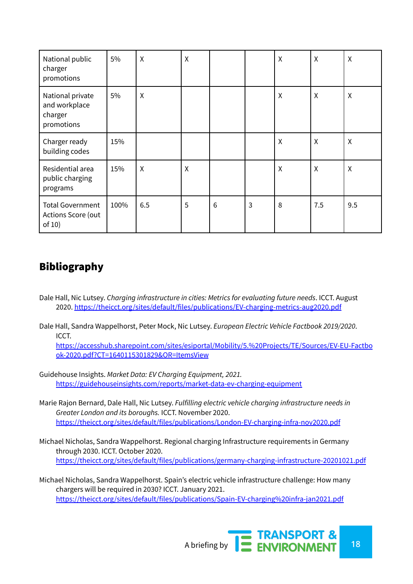| National public<br>charger<br>promotions                   | 5%   | X                         | $\pmb{\chi}$              |   |   | X       | X      | X                         |
|------------------------------------------------------------|------|---------------------------|---------------------------|---|---|---------|--------|---------------------------|
| National private<br>and workplace<br>charger<br>promotions | 5%   | X                         |                           |   |   | X       | X      | X                         |
| Charger ready<br>building codes                            | 15%  |                           |                           |   |   | X       | X      | X                         |
| Residential area<br>public charging<br>programs            | 15%  | $\boldsymbol{\mathsf{X}}$ | $\boldsymbol{\mathsf{X}}$ |   |   | $\sf X$ | $\chi$ | $\boldsymbol{\mathsf{X}}$ |
| <b>Total Government</b><br>Actions Score (out<br>of $10)$  | 100% | 6.5                       | 5                         | 6 | 3 | 8       | 7.5    | 9.5                       |

# Bibliography

- Dale Hall, Nic Lutsey. *Charging infrastructure in cities: Metrics for evaluating future needs*. ICCT. August 2020. <https://theicct.org/sites/default/files/publications/EV-charging-metrics-aug2020.pdf>
- Dale Hall, Sandra Wappelhorst, Peter Mock, Nic Lutsey. *European Electric Vehicle Factbook 2019/2020*. ICCT.

[https://accesshub.sharepoint.com/sites/esiportal/Mobility/5.%20Projects/TE/Sources/EV-EU-Factbo](https://accesshub.sharepoint.com/sites/esiportal/Mobility/5.%20Projects/TE/Sources/EV-EU-Factbook-2020.pdf?CT=1640115301829&OR=ItemsView) [ok-2020.pdf?CT=1640115301829&OR=ItemsView](https://accesshub.sharepoint.com/sites/esiportal/Mobility/5.%20Projects/TE/Sources/EV-EU-Factbook-2020.pdf?CT=1640115301829&OR=ItemsView)

- Guidehouse Insights. *Market Data: EV Charging Equipment, 2021.* [https://guidehouseinsights.com/reports/market-data-ev-charging-equipment](https://guidehouseinsights.com/reports/market-data-ev-charging-equipmentv)
- Marie Rajon Bernard, Dale Hall, Nic Lutsey. *Fulfilling electric vehicle charging infrastructure needs in Greater London and its boroughs.* ICCT. November 2020. <https://theicct.org/sites/default/files/publications/London-EV-charging-infra-nov2020.pdf>
- Michael Nicholas, Sandra Wappelhorst. Regional charging Infrastructure requirements in Germany through 2030. ICCT. October 2020. <https://theicct.org/sites/default/files/publications/germany-charging-infrastructure-20201021.pdf>

Michael Nicholas, Sandra Wappelhorst. Spain's electric vehicle infrastructure challenge: How many chargers will be required in 2030? ICCT. January 2021. <https://theicct.org/sites/default/files/publications/Spain-EV-charging%20infra-jan2021.pdf>